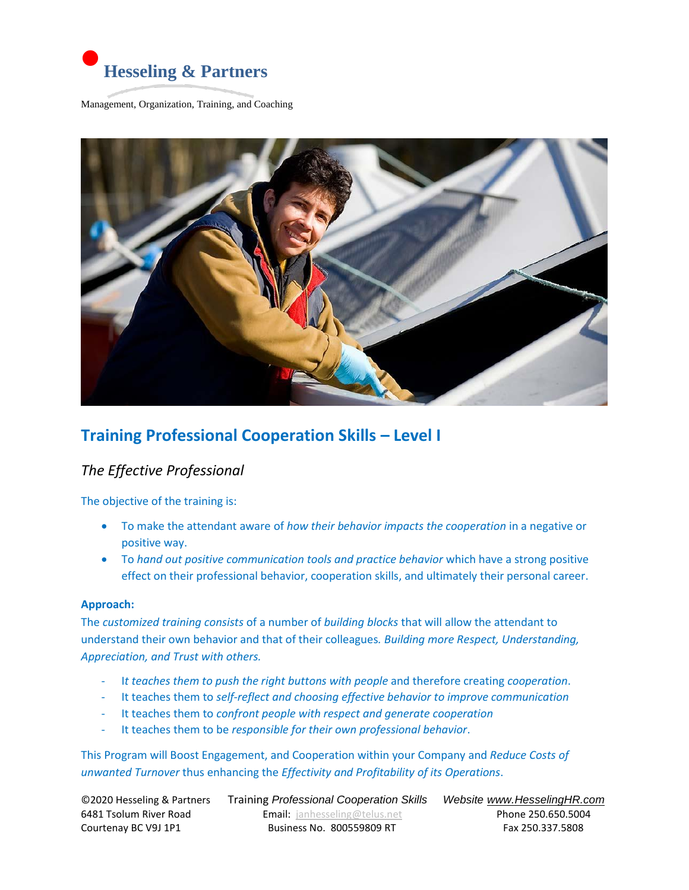

Management, Organization, Training, and Coaching



## **Training Professional Cooperation Skills – Level I**

### *The Effective Professional*

The objective of the training is:

- To make the attendant aware of *how their behavior impacts the cooperation* in a negative or positive way.
- To *hand out positive communication tools and practice behavior* which have a strong positive effect on their professional behavior, cooperation skills, and ultimately their personal career.

#### **Approach:**

The *customized training consists* of a number of *building blocks* that will allow the attendant to understand their own behavior and that of their colleagues*. Building more Respect, Understanding, Appreciation, and Trust with others.*

- I*t teaches them to push the right buttons with people* and therefore creating *cooperation*.
- It teaches them to *self-reflect and choosing effective behavior to improve communication*
- It teaches them to *confront people with respect and generate cooperation*
- It teaches them to be *responsible for their own professional behavior*.

This Program will Boost Engagement, and Cooperation within your Company and *Reduce Costs of unwanted Turnover* thus enhancing the *Effectivity and Profitability of its Operations*.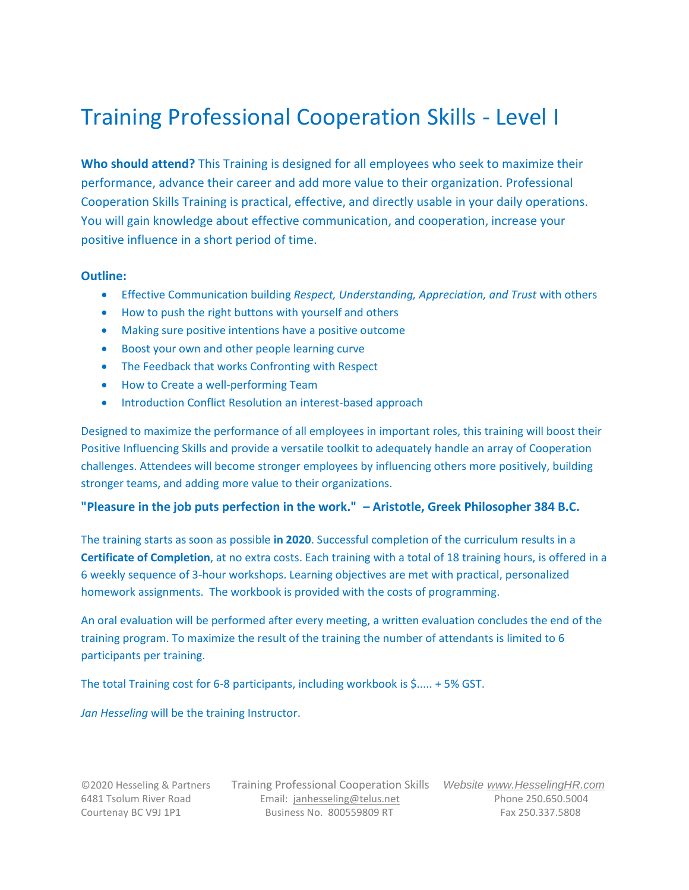# Training Professional Cooperation Skills - Level I

**Who should attend?** This Training is designed for all employees who seek to maximize their performance, advance their career and add more value to their organization. Professional Cooperation Skills Training is practical, effective, and directly usable in your daily operations. You will gain knowledge about effective communication, and cooperation, increase your positive influence in a short period of time.

#### **Outline:**

- Effective Communication building *Respect, Understanding, Appreciation, and Trust* with others
- How to push the right buttons with yourself and others
- Making sure positive intentions have a positive outcome
- Boost your own and other people learning curve
- The Feedback that works Confronting with Respect
- How to Create a well-performing Team
- **Introduction Conflict Resolution an interest-based approach**

Designed to maximize the performance of all employees in important roles, this training will boost their Positive Influencing Skills and provide a versatile toolkit to adequately handle an array of Cooperation challenges. Attendees will become stronger employees by influencing others more positively, building stronger teams, and adding more value to their organizations.

#### **"Pleasure in the job puts perfection in the work." – Aristotle, Greek Philosopher 384 B.C.**

The training starts as soon as possible **in 2020**. Successful completion of the curriculum results in a **Certificate of Completion**, at no extra costs. Each training with a total of 18 training hours, is offered in a 6 weekly sequence of 3-hour workshops. Learning objectives are met with practical, personalized homework assignments. The workbook is provided with the costs of programming.

An oral evaluation will be performed after every meeting, a written evaluation concludes the end of the training program. To maximize the result of the training the number of attendants is limited to 6 participants per training.

The total Training cost for 6-8 participants, including workbook is \$..... + 5% GST.

*Jan Hesseling* will be the training Instructor.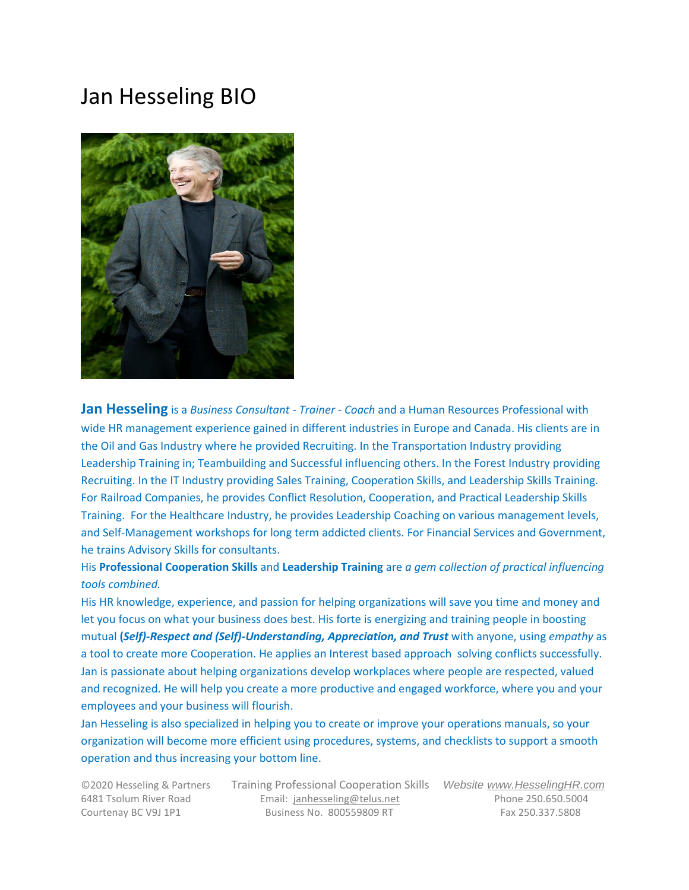# Jan Hesseling BIO



**Jan Hesseling** is a *Business Consultant - Trainer - Coach* and a Human Resources Professional with wide HR management experience gained in different industries in Europe and Canada. His clients are in the Oil and Gas Industry where he provided Recruiting. In the Transportation Industry providing Leadership Training in; Teambuilding and Successful influencing others. In the Forest Industry providing Recruiting. In the IT Industry providing Sales Training, Cooperation Skills, and Leadership Skills Training. For Railroad Companies, he provides Conflict Resolution, Cooperation, and Practical Leadership Skills Training. For the Healthcare Industry, he provides Leadership Coaching on various management levels, and Self-Management workshops for long term addicted clients. For Financial Services and Government, he trains Advisory Skills for consultants.

### His **Professional Cooperation Skills** and **Leadership Training** are *a gem collection of practical influencing tools combined.*

His HR knowledge, experience, and passion for helping organizations will save you time and money and let you focus on what your business does best. His forte is energizing and training people in boosting mutual **(***Self)-Respect and (Self)-Understanding, Appreciation, and Trust* with anyone, using *empathy* as a tool to create more Cooperation. He applies an Interest based approach solving conflicts successfully. Jan is passionate about helping organizations develop workplaces where people are respected, valued and recognized. He will help you create a more productive and engaged workforce, where you and your employees and your business will flourish.

Jan Hesseling is also specialized in helping you to create or improve your operations manuals, so your organization will become more efficient using procedures, systems, and checklists to support a smooth operation and thus increasing your bottom line.